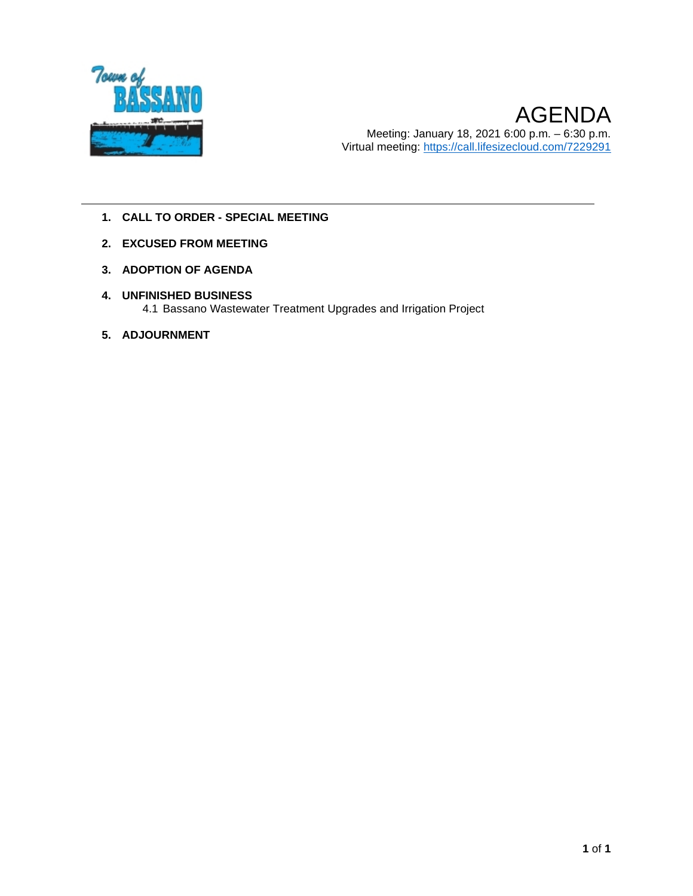

- **1. CALL TO ORDER - SPECIAL MEETING**
- **2. EXCUSED FROM MEETING**
- **3. ADOPTION OF AGENDA**
- **4. UNFINISHED BUSINESS** 4.1 Bassano Wastewater Treatment Upgrades and Irrigation Project
- **5. ADJOURNMENT**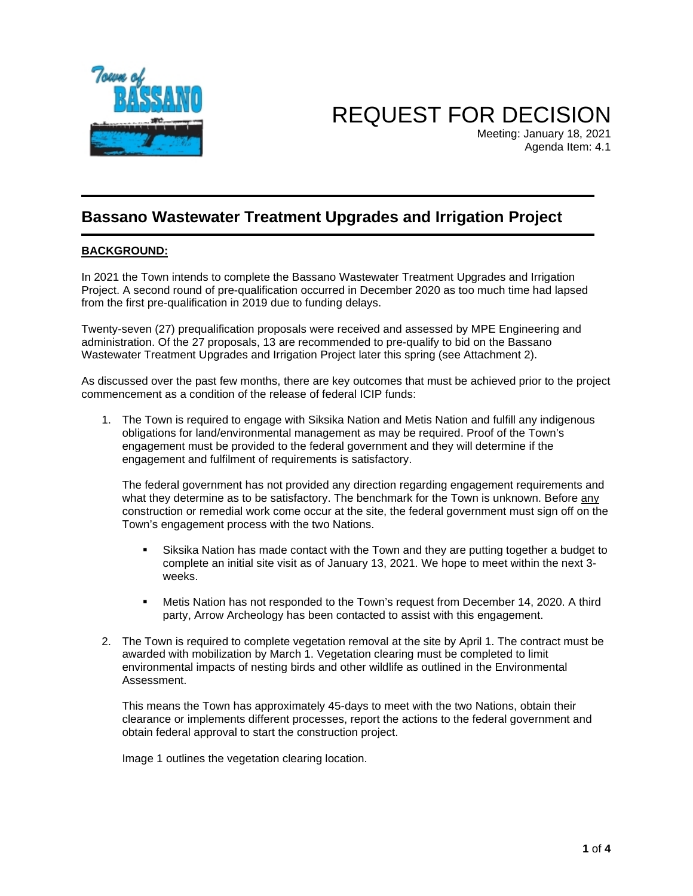

REQUEST FOR DECISION

Meeting: January 18, 2021 Agenda Item: 4.1

#### **Bassano Wastewater Treatment Upgrades and Irrigation Project**

#### **BACKGROUND:**

In 2021 the Town intends to complete the Bassano Wastewater Treatment Upgrades and Irrigation Project. A second round of pre-qualification occurred in December 2020 as too much time had lapsed from the first pre-qualification in 2019 due to funding delays.

Twenty-seven (27) prequalification proposals were received and assessed by MPE Engineering and administration. Of the 27 proposals, 13 are recommended to pre-qualify to bid on the Bassano Wastewater Treatment Upgrades and Irrigation Project later this spring (see Attachment 2).

As discussed over the past few months, there are key outcomes that must be achieved prior to the project commencement as a condition of the release of federal ICIP funds:

1. The Town is required to engage with Siksika Nation and Metis Nation and fulfill any indigenous obligations for land/environmental management as may be required. Proof of the Town's engagement must be provided to the federal government and they will determine if the engagement and fulfilment of requirements is satisfactory.

The federal government has not provided any direction regarding engagement requirements and what they determine as to be satisfactory. The benchmark for the Town is unknown. Before any construction or remedial work come occur at the site, the federal government must sign off on the Town's engagement process with the two Nations.

- Siksika Nation has made contact with the Town and they are putting together a budget to complete an initial site visit as of January 13, 2021. We hope to meet within the next 3 weeks.
- Metis Nation has not responded to the Town's request from December 14, 2020. A third party, Arrow Archeology has been contacted to assist with this engagement.
- 2. The Town is required to complete vegetation removal at the site by April 1. The contract must be awarded with mobilization by March 1. Vegetation clearing must be completed to limit environmental impacts of nesting birds and other wildlife as outlined in the Environmental Assessment.

This means the Town has approximately 45-days to meet with the two Nations, obtain their clearance or implements different processes, report the actions to the federal government and obtain federal approval to start the construction project.

Image 1 outlines the vegetation clearing location.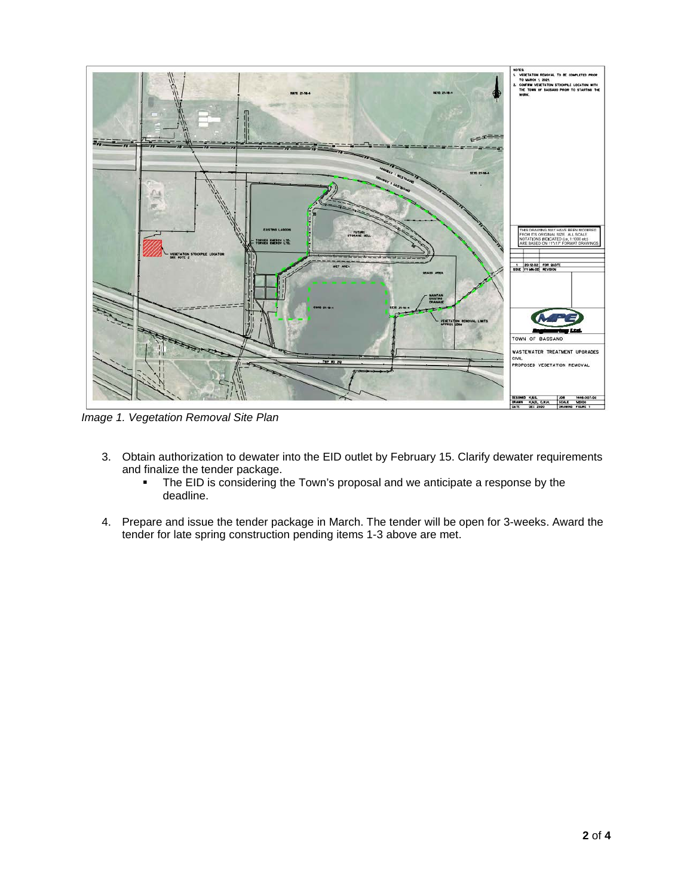

*Image 1. Vegetation Removal Site Plan* 

- 3. Obtain authorization to dewater into the EID outlet by February 15. Clarify dewater requirements and finalize the tender package.
	- The EID is considering the Town's proposal and we anticipate a response by the deadline.
- 4. Prepare and issue the tender package in March. The tender will be open for 3-weeks. Award the tender for late spring construction pending items 1-3 above are met.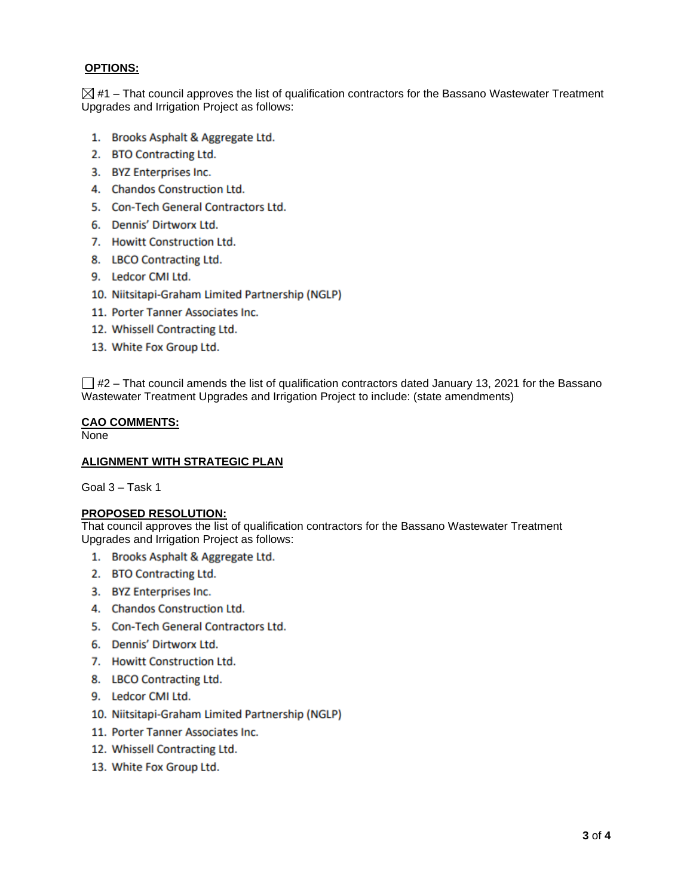#### **OPTIONS:**

 $\boxtimes$  #1 – That council approves the list of qualification contractors for the Bassano Wastewater Treatment Upgrades and Irrigation Project as follows:

- 1. Brooks Asphalt & Aggregate Ltd.
- 2. BTO Contracting Ltd.
- 3. BYZ Enterprises Inc.
- 4. Chandos Construction Ltd.
- 5. Con-Tech General Contractors Ltd.
- 6. Dennis' Dirtworx Ltd.
- 7. Howitt Construction Ltd.
- 8. LBCO Contracting Ltd.
- 9. Ledcor CMI Ltd.
- 10. Niitsitapi-Graham Limited Partnership (NGLP)
- 11. Porter Tanner Associates Inc.
- 12. Whissell Contracting Ltd.
- 13. White Fox Group Ltd.

 $\Box$  #2 – That council amends the list of qualification contractors dated January 13, 2021 for the Bassano Wastewater Treatment Upgrades and Irrigation Project to include: (state amendments)

#### **CAO COMMENTS:**

None

#### **ALIGNMENT WITH STRATEGIC PLAN**

Goal 3 – Task 1

#### **PROPOSED RESOLUTION:**

That council approves the list of qualification contractors for the Bassano Wastewater Treatment Upgrades and Irrigation Project as follows:

- 1. Brooks Asphalt & Aggregate Ltd.
- 2. BTO Contracting Ltd.
- 3. BYZ Enterprises Inc.
- 4. Chandos Construction Ltd.
- 5. Con-Tech General Contractors Ltd.
- 6. Dennis' Dirtworx Ltd.
- 7. Howitt Construction Ltd.
- 8. LBCO Contracting Ltd.
- 9. Ledcor CMI Ltd.
- 10. Niitsitapi-Graham Limited Partnership (NGLP)
- 11. Porter Tanner Associates Inc.
- 12. Whissell Contracting Ltd.
- 13. White Fox Group Ltd.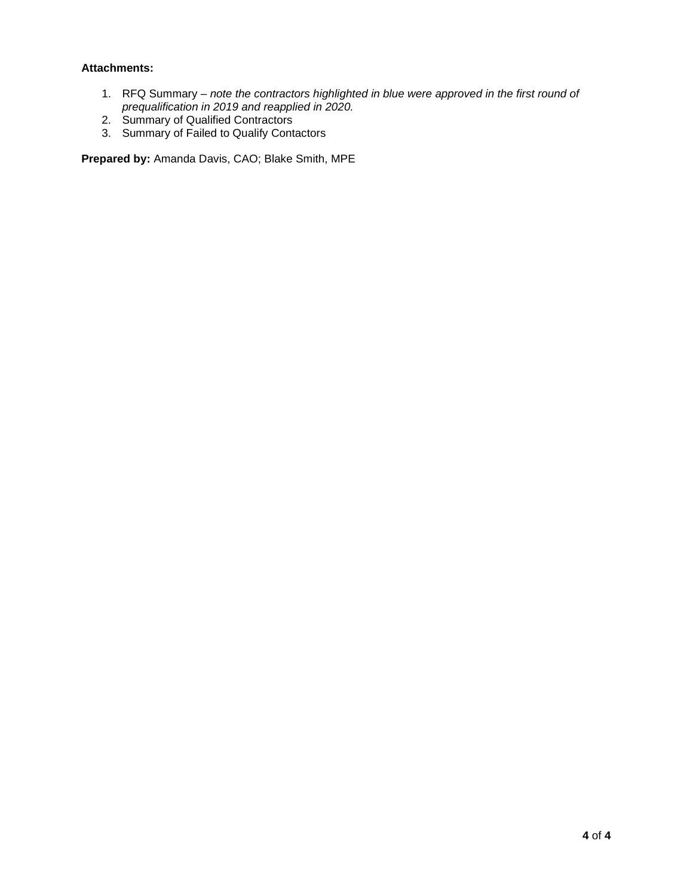#### **Attachments:**

- 1. RFQ Summary *note the contractors highlighted in blue were approved in the first round of prequalification in 2019 and reapplied in 2020.*
- 2. Summary of Qualified Contractors
- 3. Summary of Failed to Qualify Contactors

**Prepared by:** Amanda Davis, CAO; Blake Smith, MPE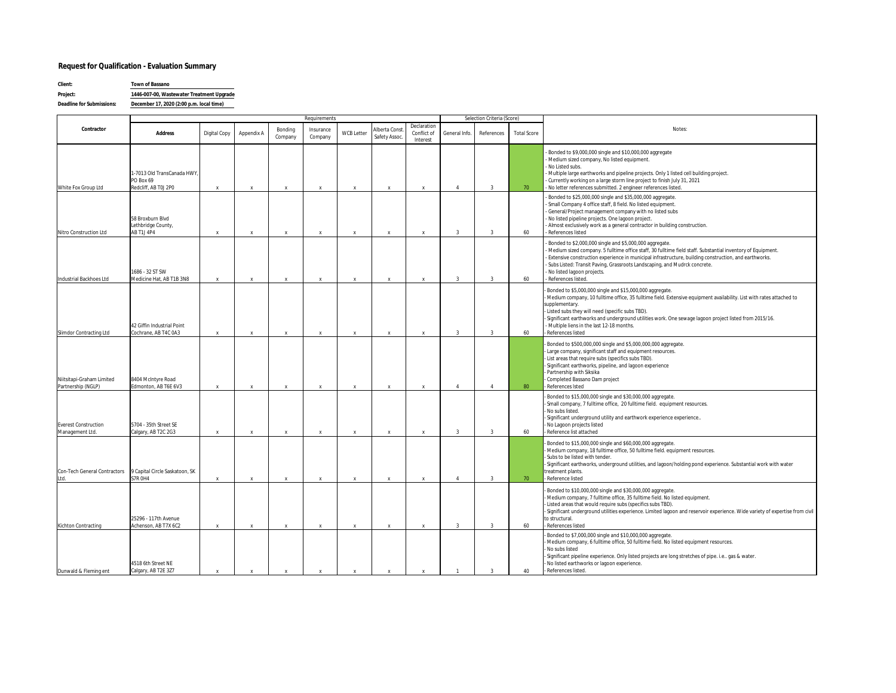#### **Request for Qualification - Evaluation Summary**

| Client:                   | Town of Bassano                           |  |  |  |  |  |  |
|---------------------------|-------------------------------------------|--|--|--|--|--|--|
| Project:                  | 1446-007-00. Wastewater Treatment Upgrade |  |  |  |  |  |  |
| Deadline for Submissions: | December 17, 2020 (2:00 p.m. local time)  |  |  |  |  |  |  |

|                                                 |                                                                  |                           |                           | Requirements              |                      |              |                                |                                        | Selection Criteria (Score) |                |                    |                                                                                                                                                                                                                                                                                                                                                                                                                                   |
|-------------------------------------------------|------------------------------------------------------------------|---------------------------|---------------------------|---------------------------|----------------------|--------------|--------------------------------|----------------------------------------|----------------------------|----------------|--------------------|-----------------------------------------------------------------------------------------------------------------------------------------------------------------------------------------------------------------------------------------------------------------------------------------------------------------------------------------------------------------------------------------------------------------------------------|
| Contractor                                      | Address                                                          | Digital Copy              | Appendix A                | Bonding<br>Company        | Insurance<br>Company | WCB Letter   | Alberta Const<br>Safety Assoc. | Declaration<br>Conflict of<br>Interest | General Info.              | References     | <b>Total Score</b> | Notes:                                                                                                                                                                                                                                                                                                                                                                                                                            |
| White Fox Group Ltd                             | 1-7013 Old TransCanada HWY,<br>PO Box 69<br>Redcliff, AB TOJ 2P0 | $\boldsymbol{\mathsf{x}}$ | $\mathbf{x}$              | $\mathbf{x}$              | $\mathbf x$          | $\mathbf{x}$ | $\mathbf{x}$                   | $\mathbf{x}$                           | $\overline{4}$             | $\overline{3}$ | 70                 | - Bonded to \$9,000,000 single and \$10,000,000 aggregate<br>- Medium sized company, No listed equipment.<br>- No Listed subs.<br>- Multiple large earthworks and pipeline projects. Only 1 listed cell building project.<br>- Currently working on a large storm line project to finish July 31, 2021<br>- No letter references submitted. 2 engineer references listed.                                                         |
| Nitro Construction Ltd                          | 58 Broxburn Blvd<br>Lethbridge County,<br><b>AB T1J 4P4</b>      | $\boldsymbol{\mathsf{x}}$ | $\mathbf x$               | $\boldsymbol{\mathsf{x}}$ | $\mathbf{x}$         | $\mathbf{x}$ | $\mathsf{x}$                   | $\mathbf{x}$                           | $\overline{3}$             | $\overline{3}$ | 60                 | Bonded to \$25,000,000 single and \$35,000,000 aggregate.<br>Small Company 4 office staff, 8 field. No listed equipment.<br>General/Project management company with no listed subs<br>- No listed pipeline projects. One lagoon project.<br>- Almost exclusively work as a general contractor in building construction.<br>- References listed                                                                                    |
| Industrial Backhoes Ltd                         | 1686 - 32 ST SW<br>Medicine Hat, AB T1B 3N8                      | $\boldsymbol{\mathsf{x}}$ | $\mathbf{x}$              | $\mathbf{x}$              | $\mathbf{x}$         | $\mathbf{x}$ | $\mathbf{x}$                   | $\mathbf{x}$                           | 3                          | $\overline{3}$ | 60                 | Bonded to \$2,000,000 single and \$5,000,000 aggregate.<br>- Medium sized company. 5 fulltime office staff, 30 fulltime field staff. Substantial inventory of Equipment.<br>- Extensive construction experience in municipal infrastructure, building construction, and earthworks.<br>- Subs Listed: Transit Paving, Grassroots Landscaping, and Mudrck concrete.<br>- No listed lagoon projects.<br>- References listed.        |
| Slimdor Contracting Ltd                         | 42 Giffin Industrial Point<br>Cochrane, AB T4C 0A3               | $\boldsymbol{\mathsf{x}}$ | $\mathbf x$               | $\mathbf{x}$              | $\mathbf x$          | $\mathbf{x}$ | $\mathbf{x}$                   | $\mathbf{x}$                           | $\overline{3}$             | 3              | 60                 | Bonded to \$5,000,000 single and \$15,000,000 aggregate.<br>Medium company, 10 fulltime office, 35 fulltime field. Extensive equipment availability. List with rates attached to<br>supplementary.<br>Listed subs they will need (specific subs TBD).<br>Significant earthworks and underground utilities work. One sewage lagoon project listed from 2015/16.<br>- Multiple liens in the last 12-18 months.<br>References listed |
| Niitsitapi-Graham Limited<br>Partnership (NGLP) | 8404 McIntyre Road<br>Edmonton, AB T6E 6V3                       | $\boldsymbol{\mathsf{x}}$ | $\mathbf{x}$              | $\mathbf{x}$              | $\mathbf{x}$         |              |                                | $\mathbf{x}$                           | $\mathbf{A}$               | $\overline{4}$ | 80                 | Bonded to \$500,000,000 single and \$5,000,000,000 aggregate.<br>Large company, significant staff and equipment resources.<br>List areas that require subs (specifics subs TBD).<br>Significant earthworks, pipeline, and lagoon experience<br>Partnership with Siksika<br>Completed Bassano Dam project<br>References Isted                                                                                                      |
| Everest Construction<br>Management Ltd.         | 5704 - 35th Street SE<br>Calgary, AB T2C 2G3                     | $\mathsf{X}$              | $\boldsymbol{\mathsf{x}}$ | $\mathbf{x}$              | $\mathbf{x}$         | $\mathbf{x}$ | $\mathbf{x}$                   | $\mathbf{x}$                           | $\overline{3}$             | $\overline{3}$ | 60                 | Bonded to \$15,000,000 single and \$30,000,000 aggregate.<br>Small company, 7 fulltime office, 20 fulltime field. equipment resources.<br>No subs listed.<br>Significant underground utility and earthwork experience experience<br>No Lagoon projects listed<br>Reference list attached                                                                                                                                          |
| Con-Tech General Contractors<br>td.             | 9 Capital Circle Saskatoon, SK<br>S7R OH4                        | $\mathbf{x}$              | $\mathbf{x}$              | $\mathbf{x}$              | $\mathbf{x}$         | $\mathbf{x}$ | $\mathbf{x}$                   | $\mathbf{x}$                           | $\overline{4}$             | $\overline{3}$ | 70                 | Bonded to \$15,000,000 single and \$60,000,000 aggregate.<br>Medium company, 18 fulltime office, 50 fulltime field. equipment resources.<br>Subs to be listed with tender.<br>Significant earthworks, underground utilities, and lagoon/holding pond experience. Substantial work with water<br>treatment plants.<br>Reference listed                                                                                             |
| Kichton Contracting                             | 25296 - 117th Avenue<br>Achenson, AB T7X 6C2                     | $\boldsymbol{\mathsf{x}}$ | $\boldsymbol{\mathsf{x}}$ | $\mathbf{x}$              | $\mathbf{x}$         | $\mathbf{x}$ | $\mathbf{x}$                   | $\mathbf{x}$                           | $\overline{3}$             | $\overline{3}$ | 60                 | Bonded to \$10,000,000 single and \$30,000,000 aggregate.<br>Medium company, 7 fulltime office, 35 fulltime field. No listed equipment.<br>Listed areas that would require subs (specifics subs TBD).<br>Significant underground utilities experience. Limited lagoon and reservoir experience. Wide variety of expertise from civil<br>to structural.<br>References listed                                                       |
| Dunwald & Fleming ent                           | 4518 6th Street NE<br>Calgary, AB T2E 3Z7                        | X                         | $\mathsf{x}$              | $\boldsymbol{\mathsf{x}}$ | $\mathbf{x}$         | $\mathbf{x}$ |                                | $\mathbf{x}$                           |                            | $\overline{3}$ | 40                 | Bonded to \$7,000,000 single and \$10,000,000 aggregate.<br>Medium company, 6 fulltime office, 50 fulltime field. No listed equipment resources.<br>No subs listed<br>Significant pipeline experience. Only listed projects are long stretches of pipe. i.e., gas & water.<br>No listed earthworks or lagoon experience.<br>References listed.                                                                                    |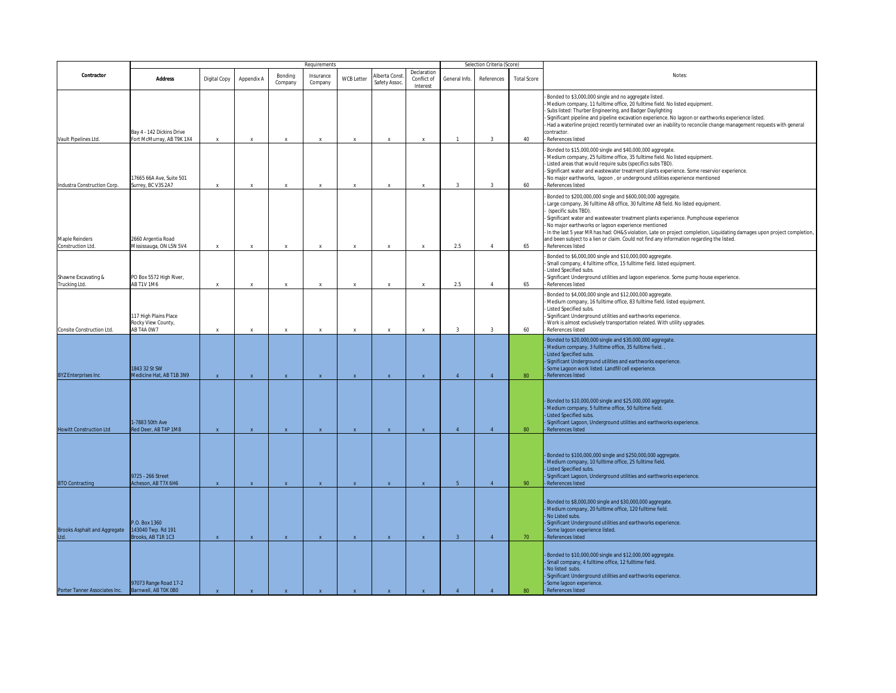|                                      | Selection Criteria (Score)<br>Requirements                |              |                           |                           |                      |                   |                                |                                        |                |                |                    |                                                                                                                                                                                                                                                                                                                                                                                                                                                                                                                                                                 |
|--------------------------------------|-----------------------------------------------------------|--------------|---------------------------|---------------------------|----------------------|-------------------|--------------------------------|----------------------------------------|----------------|----------------|--------------------|-----------------------------------------------------------------------------------------------------------------------------------------------------------------------------------------------------------------------------------------------------------------------------------------------------------------------------------------------------------------------------------------------------------------------------------------------------------------------------------------------------------------------------------------------------------------|
| Contractor                           | Address                                                   | Digital Copy | Appendix A                | Bonding<br>Company        | Insurance<br>Company | <b>WCB Letter</b> | Alberta Const.<br>Safety Assoc | Declaration<br>Conflict of<br>Interest | General Info.  | References     | <b>Total Score</b> | Notes:                                                                                                                                                                                                                                                                                                                                                                                                                                                                                                                                                          |
| Vault Pipelines Ltd.                 | Bay 4 - 142 Dickins Drive<br>Fort McMurray, AB T9K 1X4    | $\mathsf{X}$ | $\boldsymbol{\mathsf{x}}$ | $\mathsf X$               | X                    | $\mathbf{x}$      | $\boldsymbol{\mathsf{x}}$      | $\boldsymbol{\mathsf{x}}$              | $\mathbf{1}$   | $\overline{3}$ | 40                 | Bonded to \$3,000,000 single and no aggregate listed.<br>Medium company, 11 fulltime office, 20 fulltime field. No listed equipment.<br>Subs listed: Thurber Engineering, and Badger Daylighting<br>Significant pipeline and pipeline excavation experience. No lagoon or earthworks experience listed.<br>Had a waterline project recently terminated over an inability to reconcile change management requests with general<br>contractor.<br>References listed                                                                                               |
| Industra Construction Corp.          | 17665 66A Ave, Suite 501<br>Surrey, BC V3S 2A7            | $\mathbf{x}$ | $\boldsymbol{\mathsf{x}}$ | $\boldsymbol{\mathsf{x}}$ |                      | $\mathbf{x}$      | $\mathbf x$                    | $\mathbf x$                            | $\mathcal{R}$  | $\mathcal{R}$  | 60                 | Bonded to \$15,000,000 single and \$40,000,000 aggregate.<br>Medium company, 25 fulltime office, 35 fulltime field. No listed equipment.<br>Listed areas that would require subs (specifics subs TBD).<br>Significant water and wastewater treatment plants experience. Some reservior experience.<br>No major earthworks, lagoon, or underground utilities experience mentioned<br>References listed                                                                                                                                                           |
| Maple Reinders<br>Construction Ltd.  | 2660 Argentia Road<br>Mississauga, ON L5N 5V4             | $\mathbf x$  | $\boldsymbol{\mathsf{x}}$ | $\mathbf{x}$              | $\mathbf{x}$         | $\mathbf{x}$      | x                              | $\mathbf{x}$                           | 2.5            | $\Delta$       | 65                 | Bonded to \$200,000,000 single and \$600,000,000 aggregate.<br>Large company, 36 fulltime AB office, 30 fulltime AB field. No listed equipment.<br>(specific subs TBD).<br>Significant water and wastewater treatment plants experience. Pumphouse experience<br>No major earthworks or lagoon experience mentioned<br>In the last 5 year MR has had: OH&S violation, Late on project completion, Liquidating damages upon project completion<br>and been subject to a lien or claim. Could not find any information regarding the listed.<br>References listed |
| Shawne Excavating &<br>Trucking Ltd. | PO Box 5572 High River,<br>AB T1V 1M6                     |              | $\boldsymbol{\mathsf{x}}$ | $\boldsymbol{\mathsf{x}}$ |                      | $\mathbf{x}$      |                                |                                        | 2.5            | $\Delta$       | 65                 | Bonded to \$6,000,000 single and \$10,000,000 aggregate.<br>Small company, 4 fulltime office, 15 fulltime field. listed equipment.<br>Listed Specified subs.<br>Significant Underground utilities and lagoon experience. Some pump house experience.<br>References listed                                                                                                                                                                                                                                                                                       |
| Consite Construction Ltd.            | 117 High Plains Place<br>Rocky View County,<br>AB T4A 0W7 | $\mathbf{x}$ | $\boldsymbol{\mathsf{x}}$ | $\boldsymbol{\mathsf{x}}$ | $\mathbf{x}$         | $\mathbf{x}$      | $\boldsymbol{\mathsf{x}}$      | $\mathbf{x}$                           | $\mathcal{R}$  | $\overline{3}$ | 60                 | Bonded to \$4,000,000 single and \$12,000,000 aggregate.<br>Medium company, 16 fulltime office, 83 fulltime field. listed equipment.<br>Listed Specified subs.<br>Significant Underground utilities and earthworks experience.<br>Work is almost exclusively transportation related. With utility upgrades.<br>References listed                                                                                                                                                                                                                                |
| <b>3YZ Enterprises Inc</b>           | 1843 32 St SW<br>Medicine Hat, AB T1B 3N9                 | $\mathbf{x}$ | $\mathbf{x}$              | $\mathbf{x}$              | $\mathbf{x}$         | $\mathbf{x}$      | $\mathbf{x}$                   | $\mathbf{x}$                           | $\Delta$       |                | 80                 | Bonded to \$20,000,000 single and \$30,000,000 aggregate.<br>Medium company, 3 fulltime office, 35 fulltime field.<br>Listed Specified subs.<br>Significant Underground utilities and earthworks experience.<br>Some Lagoon work listed. Landfill cell experience.<br>References listed                                                                                                                                                                                                                                                                         |
| <b>Howitt Construction Ltd</b>       | -7883 50th Ave<br>ed Deer, AB T4P 1M8                     | $\mathbf{x}$ | $\mathbf{x}$              | $\mathbf{x}$              |                      | $\mathbf{x}$      | $\mathbf{x}$                   | $\mathbf{x}$                           | $\Delta$       | $\overline{A}$ | 80                 | Bonded to \$10,000,000 single and \$25,000,000 aggregate.<br>Medium company, 5 fulltime office, 50 fulltime field.<br>Listed Specified subs.<br>Significant Lagoon, Underground utilities and earthworks experience.<br>References listed                                                                                                                                                                                                                                                                                                                       |
| <b>BTO Contracting</b>               | 9725 - 266 Street<br>Acheson, AB T7X 6H6                  | $\mathbf{x}$ | $\mathbf{x}$              | $\mathbf{x}$              | $\mathbf{x}$         | $\mathbf{x}$      | $\mathbf{x}$                   | $\mathbf{x}$                           | 5 <sup>1</sup> | $\overline{4}$ | 90                 | Bonded to \$100,000,000 single and \$250,000,000 aggregate.<br>Medium company, 10 fulltime office, 25 fulltime field.<br>Listed Specified subs.<br>Significant Lagoon, Underground utilities and earthworks experience.<br>References listed                                                                                                                                                                                                                                                                                                                    |
| <b>Brooks Asphalt and Aggregate</b>  | P.O. Box 1360<br>143040 Twp. Rd 191<br>Brooks, AB T1R 1C3 | $\mathbf{x}$ | $\mathbf{x}$              | $\mathbf{x}$              | $\mathbf{x}$         | $\mathbf{x}$      | $\mathbf{x}$                   | $\mathbf{x}$                           | 3 <sup>1</sup> | $\overline{4}$ | 70                 | Bonded to \$8,000,000 single and \$30,000,000 aggregate.<br>Medium company, 20 fulltime office, 120 fulltime field.<br>No Listed subs.<br>Significant Underground utilities and earthworks experience.<br>Some lagoon experience listed.<br>References listed                                                                                                                                                                                                                                                                                                   |
| Porter Tanner Associates Inc.        | 97073 Range Road 17-2<br>Barnwell, AB TOK 0B0             |              | $\mathbf{x}$              | $\mathbf{x}$              |                      |                   |                                |                                        | $\Delta$       |                | 80                 | Bonded to \$10,000,000 single and \$12,000,000 aggregate.<br>Small company, 4 fulltime office, 12 fulltime field.<br>No listed subs.<br>Significant Underground utilities and earthworks experience.<br>Some lagoon experience.<br>References listed                                                                                                                                                                                                                                                                                                            |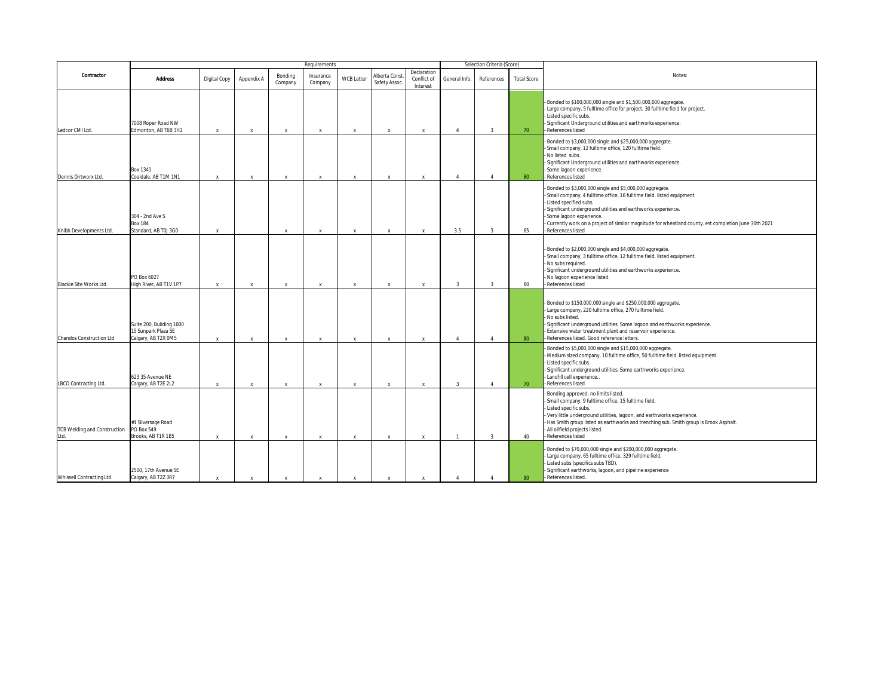|                                             |                                                                        | Requirements<br>Selection Criteria (Score) |                           |                           |                      |                   |                                |                                        |                |                |                    |                                                                                                                                                                                                                                                                                                                                                                                     |
|---------------------------------------------|------------------------------------------------------------------------|--------------------------------------------|---------------------------|---------------------------|----------------------|-------------------|--------------------------------|----------------------------------------|----------------|----------------|--------------------|-------------------------------------------------------------------------------------------------------------------------------------------------------------------------------------------------------------------------------------------------------------------------------------------------------------------------------------------------------------------------------------|
| Contractor                                  | Address                                                                | Digital Copy                               | Appendix A                | Bonding<br>Company        | Insurance<br>Company | <b>WCB Letter</b> | Alberta Const<br>Safety Assoc. | Declaration<br>Conflict of<br>Interest | General Info.  | References     | <b>Total Score</b> | Notes:                                                                                                                                                                                                                                                                                                                                                                              |
| Ledcor CMI Ltd.                             | 7008 Roper Road NW<br>Edmonton, AB T6B 3H2                             | $\mathsf{x}$                               | $\boldsymbol{\mathsf{x}}$ | $\mathbf{x}$              | X                    | $\mathbf{x}$      | $\boldsymbol{\mathsf{x}}$      | $\mathbf{x}$                           | $\Delta$       | $\overline{3}$ | 70                 | Bonded to \$100,000,000 single and \$1,500,000,000 aggregate.<br>Large company, 5 fulltime office for project, 30 fulltime field for project.<br>Listed specific subs.<br>Significant Underground utilities and earthworks experience.<br>References listed                                                                                                                         |
| Dennis Dirtworx Ltd.                        | Box 1341<br>Coaldale, AB T1M 1N1                                       | x                                          | $\boldsymbol{\mathsf{x}}$ | $\mathbf{x}$              | X                    | $\mathbf{x}$      | X                              | $\mathbf{x}$                           | $\Delta$       | $\overline{4}$ | 80                 | Bonded to \$3,000,000 single and \$25,000,000 aggregate.<br>Small company, 12 fulltime office, 120 fulltime field.<br>No listed subs.<br>Significant Underground utilities and earthworks experience.<br>Some lagoon experience.<br>References listed                                                                                                                               |
| Knibb Developments Ltd.                     | 304 - 2nd Ave S<br><b>Box 184</b><br>Standard, AB T0J 3G0              | $\mathbf{x}$                               |                           | $\mathbf{x}$              | $\mathbf x$          | $\mathbf{x}$      | $\mathbf{x}$                   | $\mathsf{x}$                           | 3.5            | $\overline{3}$ | 65                 | Bonded to \$3,000,000 single and \$5,000,000 aggregate.<br>Small company, 4 fulltime office, 16 fulltime field. listed equipment.<br>Listed specified subs.<br>Significant underground utilities and earthworks experience.<br>Some lagoon experience.<br>Currently work on a project of similar magnitude for wheatland county. est completion June 30th 2021<br>References listed |
| Blackie Site Works Ltd.                     | PO Box 6027<br>High River, AB T1V 1P7                                  | $\mathsf{x}$                               | $\boldsymbol{\mathsf{x}}$ | $\mathbf{x}$              | X                    | $\mathbf{x}$      | $\mathbf x$                    | $\mathbf{x}$                           | $\overline{3}$ | $\overline{3}$ | 60                 | Bonded to \$2,000,000 single and \$4,000,000 aggregate.<br>Small company, 3 fulltime office, 12 fulltime field. listed equipment.<br>No subs required.<br>Significant underground utilities and earthworks experience.<br>No lagoon experience listed.<br>References listed                                                                                                         |
| Chandos Construction Ltd                    | Suite 200, Building 1000<br>15 Sunpark Plaza SE<br>Calgary, AB T2X 0M5 | $\mathbf{x}$                               | $\boldsymbol{\mathsf{x}}$ | $\mathbf{x}$              | X                    | $\mathbf{x}$      | $\boldsymbol{\mathsf{x}}$      | $\mathbf{x}$                           | $\overline{4}$ | $\overline{4}$ | 80                 | Bonded to \$150,000,000 single and \$250,000,000 aggregate.<br>Large company, 220 fulltime office, 270 fulltime field.<br>No subs listed.<br>Significant underground utilities. Some lagoon and earthworks experience.<br>Extensive water treatment plant and reservoir experience.<br>References listed. Good reference letters.                                                   |
| LBCO Contracting Ltd.                       | 623 35 Avenue NE<br>Calgary, AB T2E 2L2                                | x                                          | $\boldsymbol{\mathsf{x}}$ | $\boldsymbol{\mathsf{x}}$ | X                    | $\mathbf{x}$      | X                              | $\mathbf{x}$                           | $\overline{3}$ | $\overline{4}$ | 70                 | Bonded to \$5,000,000 single and \$15,000,000 aggregate.<br>Medium sized company, 10 fulltime office, 50 fulltime field. listed equipment.<br>Listed specific subs.<br>Significant underground utilities. Some earthworks experience.<br>Landfill cell experience<br>References listed                                                                                              |
| <b>TCB Welding and Construction</b><br>Ltd. | #1 Silversage Road<br>PO Box 549<br>Brooks, AB T1R 1B5                 | $\mathbf{x}$                               | $\boldsymbol{\mathsf{x}}$ | $\mathbf{x}$              | X                    | $\mathbf{x}$      | $\mathbf{x}$                   | $\mathbf{x}$                           | $\mathbf{1}$   | $\overline{3}$ | 40                 | Bonding approved, no limits listed.<br>Small company, 9 fulltime office, 15 fulltime field.<br>Listed specific subs.<br>Very little underground utilities, lagoon, and earthworks experience.<br>Has Smith group listed as earthworks and trenching sub. Smith group is Brook Asphalt.<br>All oilfield projects listed.<br>References listed                                        |
| Whissell Contracting Ltd.                   | 2500, 17th Avenue SE<br>Calgary, AB T2Z 3R7                            | $\mathbf{x}$                               | $\boldsymbol{\mathsf{x}}$ | $\mathbf{x}$              | X                    | $\mathbf{x}$      | $\mathbf{x}$                   | $\mathbf{x}$                           | $\Delta$       | $\Delta$       | 80                 | Bonded to \$70,000,000 single and \$200,000,000 aggregate.<br>Large company, 65 fulltime office, 329 fulltime field.<br>Listed subs (specifics subs TBD).<br>Significant earthworks, lagoon, and pipeline experience<br>References listed.                                                                                                                                          |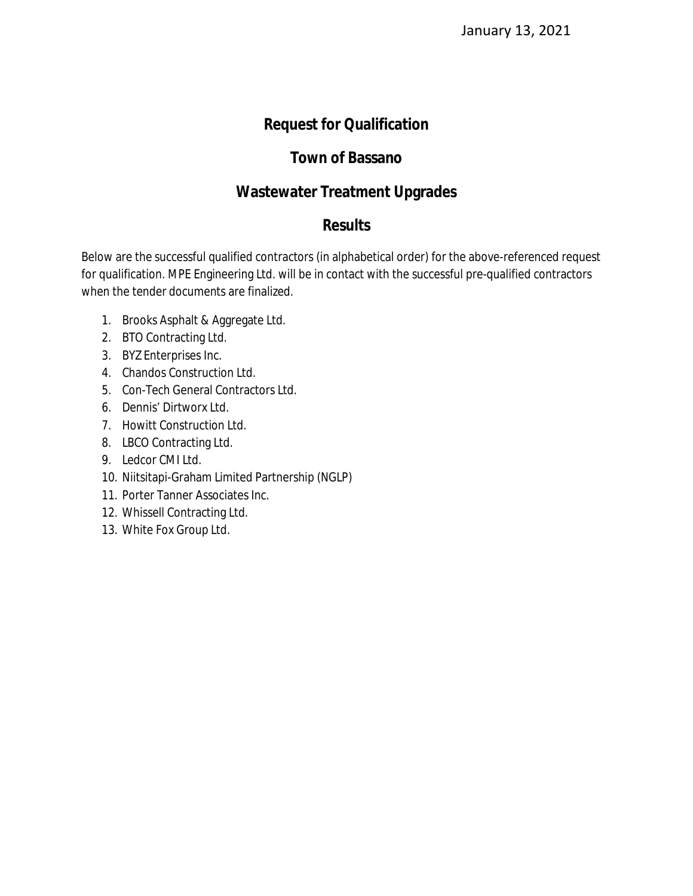## **Request for Qualification**

### **Town of Bassano**

### **Wastewater Treatment Upgrades**

### **Results**

Below are the successful qualified contractors (in alphabetical order) for the above-referenced request for qualification. MPE Engineering Ltd. will be in contact with the successful pre-qualified contractors when the tender documents are finalized.

- 1. Brooks Asphalt & Aggregate Ltd.
- 2. BTO Contracting Ltd.
- 3. BYZ Enterprises Inc.
- 4. Chandos Construction Ltd.
- 5. Con-Tech General Contractors Ltd.
- 6. Dennis' Dirtworx Ltd.
- 7. Howitt Construction Ltd.
- 8. LBCO Contracting Ltd.
- 9. Ledcor CMI Ltd.
- 10. Niitsitapi-Graham Limited Partnership (NGLP)
- 11. Porter Tanner Associates Inc.
- 12. Whissell Contracting Ltd.
- 13. White Fox Group Ltd.